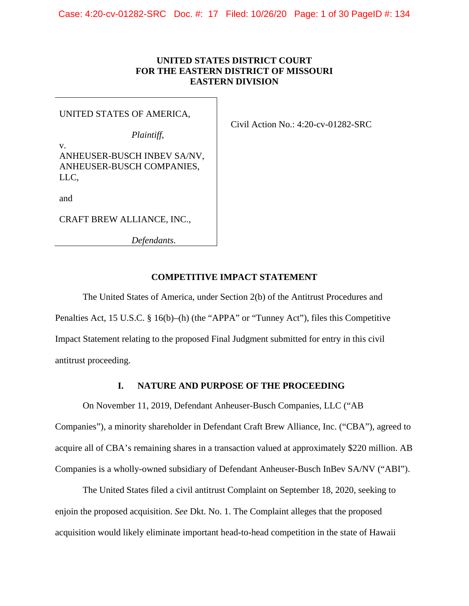# **UNITED STATES DISTRICT COURT FOR THE EASTERN DISTRICT OF MISSOURI EASTERN DIVISION**

## UNITED STATES OF AMERICA,

*Plaintiff*,

Civil Action No.: 4:20-cv-01282-SRC

v. ANHEUSER-BUSCH INBEV SA/NV, ANHEUSER-BUSCH COMPANIES, LLC,

and

CRAFT BREW ALLIANCE, INC.,

*Defendants*.

## **COMPETITIVE IMPACT STATEMENT**

The United States of America, under Section 2(b) of the Antitrust Procedures and Penalties Act, 15 U.S.C. § 16(b)–(h) (the "APPA" or "Tunney Act"), files this Competitive Impact Statement relating to the proposed Final Judgment submitted for entry in this civil antitrust proceeding.

## **I. NATURE AND PURPOSE OF THE PROCEEDING**

On November 11, 2019, Defendant Anheuser-Busch Companies, LLC ("AB Companies"), a minority shareholder in Defendant Craft Brew Alliance, Inc. ("CBA"), agreed to acquire all of CBA's remaining shares in a transaction valued at approximately \$220 million. AB Companies is a wholly-owned subsidiary of Defendant Anheuser-Busch InBev SA/NV ("ABI").

The United States filed a civil antitrust Complaint on September 18, 2020, seeking to enjoin the proposed acquisition. *See* Dkt. No. 1. The Complaint alleges that the proposed acquisition would likely eliminate important head-to-head competition in the state of Hawaii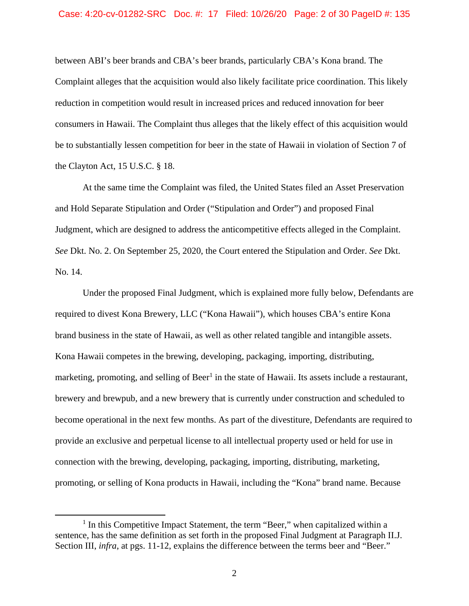between ABI's beer brands and CBA's beer brands, particularly CBA's Kona brand. The Complaint alleges that the acquisition would also likely facilitate price coordination. This likely reduction in competition would result in increased prices and reduced innovation for beer consumers in Hawaii. The Complaint thus alleges that the likely effect of this acquisition would be to substantially lessen competition for beer in the state of Hawaii in violation of Section 7 of the Clayton Act, 15 U.S.C. § 18.

At the same time the Complaint was filed, the United States filed an Asset Preservation and Hold Separate Stipulation and Order ("Stipulation and Order") and proposed Final Judgment, which are designed to address the anticompetitive effects alleged in the Complaint. *See* Dkt. No. 2. On September 25, 2020, the Court entered the Stipulation and Order. *See* Dkt. No. 14.

Under the proposed Final Judgment, which is explained more fully below, Defendants are required to divest Kona Brewery, LLC ("Kona Hawaii"), which houses CBA's entire Kona brand business in the state of Hawaii, as well as other related tangible and intangible assets. Kona Hawaii competes in the brewing, developing, packaging, importing, distributing, marketing, promoting, and selling of Beer<sup>1</sup> in the state of Hawaii. Its assets include a restaurant, brewery and brewpub, and a new brewery that is currently under construction and scheduled to become operational in the next few months. As part of the divestiture, Defendants are required to provide an exclusive and perpetual license to all intellectual property used or held for use in connection with the brewing, developing, packaging, importing, distributing, marketing, promoting, or selling of Kona products in Hawaii, including the "Kona" brand name. Because

 $\overline{a}$ 

<sup>&</sup>lt;sup>1</sup> In this Competitive Impact Statement, the term "Beer," when capitalized within a sentence, has the same definition as set forth in the proposed Final Judgment at Paragraph II.J. Section III, *infra*, at pgs. 11-12, explains the difference between the terms beer and "Beer."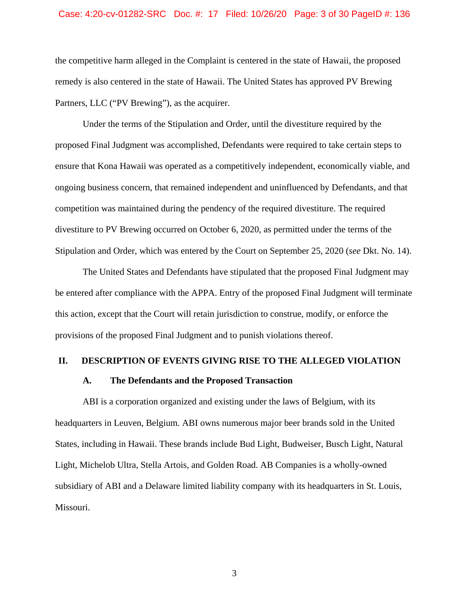#### Case: 4:20-cv-01282-SRC Doc. #: 17 Filed: 10/26/20 Page: 3 of 30 PageID #: 136

the competitive harm alleged in the Complaint is centered in the state of Hawaii, the proposed remedy is also centered in the state of Hawaii. The United States has approved PV Brewing Partners, LLC ("PV Brewing"), as the acquirer.

Under the terms of the Stipulation and Order, until the divestiture required by the proposed Final Judgment was accomplished, Defendants were required to take certain steps to ensure that Kona Hawaii was operated as a competitively independent, economically viable, and ongoing business concern, that remained independent and uninfluenced by Defendants, and that competition was maintained during the pendency of the required divestiture. The required divestiture to PV Brewing occurred on October 6, 2020, as permitted under the terms of the Stipulation and Order, which was entered by the Court on September 25, 2020 (*see* Dkt. No. 14).

The United States and Defendants have stipulated that the proposed Final Judgment may be entered after compliance with the APPA. Entry of the proposed Final Judgment will terminate this action, except that the Court will retain jurisdiction to construe, modify, or enforce the provisions of the proposed Final Judgment and to punish violations thereof.

#### **II. DESCRIPTION OF EVENTS GIVING RISE TO THE ALLEGED VIOLATION**

#### **A. The Defendants and the Proposed Transaction**

ABI is a corporation organized and existing under the laws of Belgium, with its headquarters in Leuven, Belgium. ABI owns numerous major beer brands sold in the United States, including in Hawaii. These brands include Bud Light, Budweiser, Busch Light, Natural Light, Michelob Ultra, Stella Artois, and Golden Road. AB Companies is a wholly-owned subsidiary of ABI and a Delaware limited liability company with its headquarters in St. Louis, Missouri.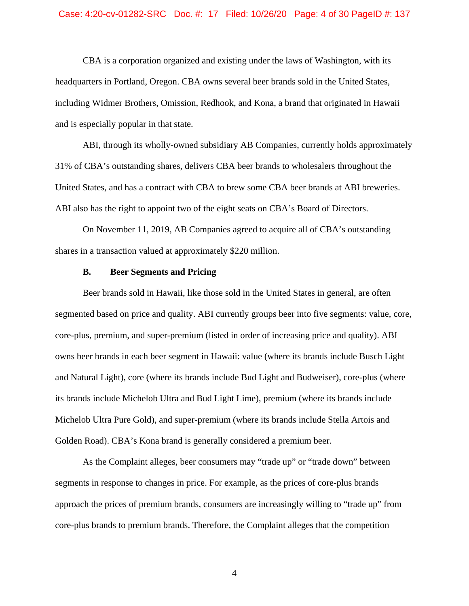#### Case: 4:20-cv-01282-SRC Doc. #: 17 Filed: 10/26/20 Page: 4 of 30 PageID #: 137

CBA is a corporation organized and existing under the laws of Washington, with its headquarters in Portland, Oregon. CBA owns several beer brands sold in the United States, including Widmer Brothers, Omission, Redhook, and Kona, a brand that originated in Hawaii and is especially popular in that state.

ABI, through its wholly-owned subsidiary AB Companies, currently holds approximately 31% of CBA's outstanding shares, delivers CBA beer brands to wholesalers throughout the United States, and has a contract with CBA to brew some CBA beer brands at ABI breweries. ABI also has the right to appoint two of the eight seats on CBA's Board of Directors.

 shares in a transaction valued at approximately \$220 million. On November 11, 2019, AB Companies agreed to acquire all of CBA's outstanding

### **B. Beer Segments and Pricing**

Beer brands sold in Hawaii, like those sold in the United States in general, are often segmented based on price and quality. ABI currently groups beer into five segments: value, core, core-plus, premium, and super-premium (listed in order of increasing price and quality). ABI owns beer brands in each beer segment in Hawaii: value (where its brands include Busch Light and Natural Light), core (where its brands include Bud Light and Budweiser), core-plus (where its brands include Michelob Ultra and Bud Light Lime), premium (where its brands include Michelob Ultra Pure Gold), and super-premium (where its brands include Stella Artois and Golden Road). CBA's Kona brand is generally considered a premium beer.

As the Complaint alleges, beer consumers may "trade up" or "trade down" between segments in response to changes in price. For example, as the prices of core-plus brands approach the prices of premium brands, consumers are increasingly willing to "trade up" from core-plus brands to premium brands. Therefore, the Complaint alleges that the competition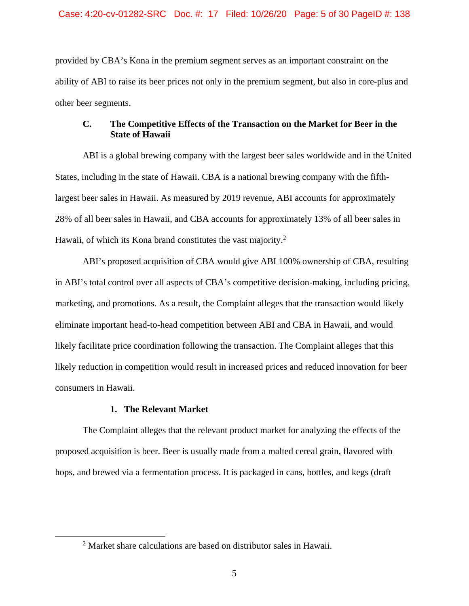provided by CBA's Kona in the premium segment serves as an important constraint on the ability of ABI to raise its beer prices not only in the premium segment, but also in core-plus and other beer segments.

## **C. The Competitive Effects of the Transaction on the Market for Beer in the State of Hawaii**

ABI is a global brewing company with the largest beer sales worldwide and in the United States, including in the state of Hawaii. CBA is a national brewing company with the fifthlargest beer sales in Hawaii. As measured by 2019 revenue, ABI accounts for approximately 28% of all beer sales in Hawaii, and CBA accounts for approximately 13% of all beer sales in Hawaii, of which its Kona brand constitutes the vast majority.<sup>2</sup>

ABI's proposed acquisition of CBA would give ABI 100% ownership of CBA, resulting in ABI's total control over all aspects of CBA's competitive decision-making, including pricing, marketing, and promotions. As a result, the Complaint alleges that the transaction would likely eliminate important head-to-head competition between ABI and CBA in Hawaii, and would likely facilitate price coordination following the transaction. The Complaint alleges that this likely reduction in competition would result in increased prices and reduced innovation for beer consumers in Hawaii.

## **1. The Relevant Market**

1

The Complaint alleges that the relevant product market for analyzing the effects of the proposed acquisition is beer. Beer is usually made from a malted cereal grain, flavored with hops, and brewed via a fermentation process. It is packaged in cans, bottles, and kegs (draft

<sup>&</sup>lt;sup>2</sup> Market share calculations are based on distributor sales in Hawaii.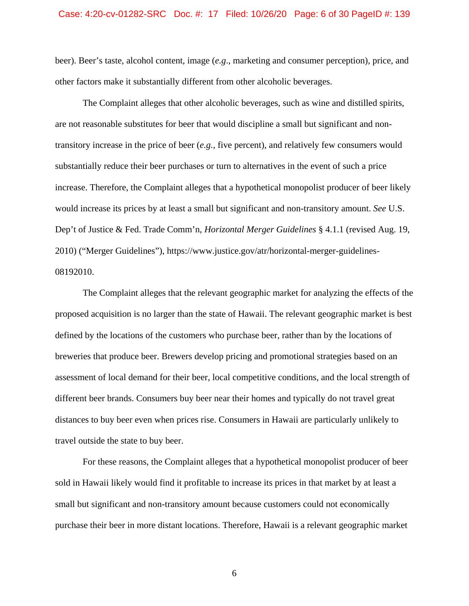beer). Beer's taste, alcohol content, image (*e.g*., marketing and consumer perception), price, and other factors make it substantially different from other alcoholic beverages.

The Complaint alleges that other alcoholic beverages, such as wine and distilled spirits, are not reasonable substitutes for beer that would discipline a small but significant and nontransitory increase in the price of beer (*e.g.*, five percent), and relatively few consumers would substantially reduce their beer purchases or turn to alternatives in the event of such a price increase. Therefore, the Complaint alleges that a hypothetical monopolist producer of beer likely would increase its prices by at least a small but significant and non-transitory amount. *See* U.S. Dep't of Justice & Fed. Trade Comm'n, *Horizontal Merger Guidelines* § 4.1.1 (revised Aug. 19, 2010) ("Merger Guidelines"), https://www.justice.gov/atr/horizontal-merger-guidelines-08192010.

The Complaint alleges that the relevant geographic market for analyzing the effects of the proposed acquisition is no larger than the state of Hawaii. The relevant geographic market is best defined by the locations of the customers who purchase beer, rather than by the locations of breweries that produce beer. Brewers develop pricing and promotional strategies based on an assessment of local demand for their beer, local competitive conditions, and the local strength of different beer brands. Consumers buy beer near their homes and typically do not travel great distances to buy beer even when prices rise. Consumers in Hawaii are particularly unlikely to travel outside the state to buy beer.

For these reasons, the Complaint alleges that a hypothetical monopolist producer of beer sold in Hawaii likely would find it profitable to increase its prices in that market by at least a small but significant and non-transitory amount because customers could not economically purchase their beer in more distant locations. Therefore, Hawaii is a relevant geographic market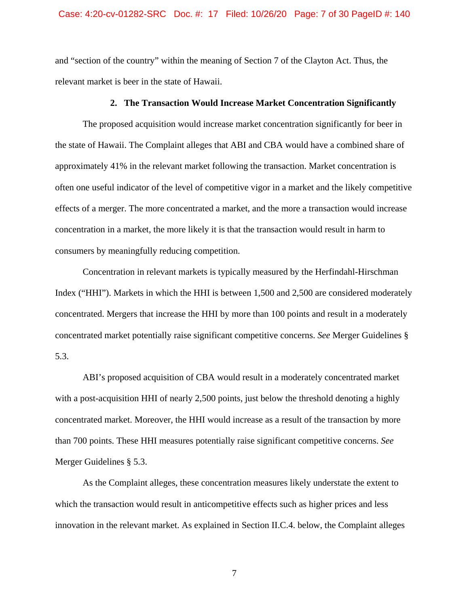and "section of the country" within the meaning of Section 7 of the Clayton Act. Thus, the relevant market is beer in the state of Hawaii.

### **2. The Transaction Would Increase Market Concentration Significantly**

The proposed acquisition would increase market concentration significantly for beer in the state of Hawaii. The Complaint alleges that ABI and CBA would have a combined share of approximately 41% in the relevant market following the transaction. Market concentration is often one useful indicator of the level of competitive vigor in a market and the likely competitive effects of a merger. The more concentrated a market, and the more a transaction would increase concentration in a market, the more likely it is that the transaction would result in harm to consumers by meaningfully reducing competition.

Concentration in relevant markets is typically measured by the Herfindahl-Hirschman Index ("HHI"). Markets in which the HHI is between 1,500 and 2,500 are considered moderately concentrated. Mergers that increase the HHI by more than 100 points and result in a moderately concentrated market potentially raise significant competitive concerns. *See* Merger Guidelines § 5.3.

ABI's proposed acquisition of CBA would result in a moderately concentrated market with a post-acquisition HHI of nearly 2,500 points, just below the threshold denoting a highly concentrated market. Moreover, the HHI would increase as a result of the transaction by more than 700 points. These HHI measures potentially raise significant competitive concerns. *See*  Merger Guidelines § 5.3.

As the Complaint alleges, these concentration measures likely understate the extent to which the transaction would result in anticompetitive effects such as higher prices and less innovation in the relevant market. As explained in Section II.C.4. below, the Complaint alleges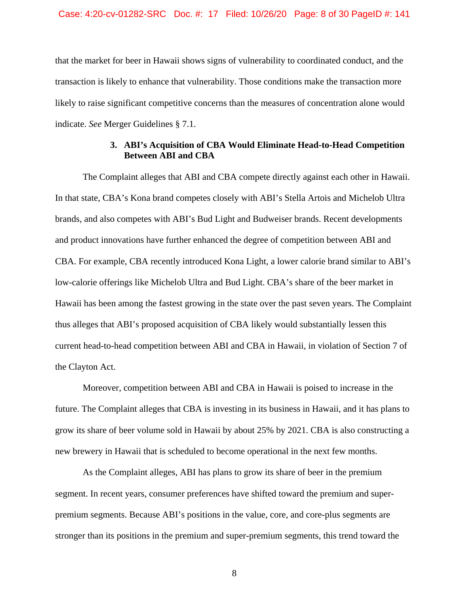that the market for beer in Hawaii shows signs of vulnerability to coordinated conduct, and the transaction is likely to enhance that vulnerability. Those conditions make the transaction more likely to raise significant competitive concerns than the measures of concentration alone would indicate. *See* Merger Guidelines § 7.1.

## **3. ABI's Acquisition of CBA Would Eliminate Head-to-Head Competition Between ABI and CBA**

The Complaint alleges that ABI and CBA compete directly against each other in Hawaii. In that state, CBA's Kona brand competes closely with ABI's Stella Artois and Michelob Ultra brands, and also competes with ABI's Bud Light and Budweiser brands. Recent developments and product innovations have further enhanced the degree of competition between ABI and CBA. For example, CBA recently introduced Kona Light, a lower calorie brand similar to ABI's low-calorie offerings like Michelob Ultra and Bud Light. CBA's share of the beer market in Hawaii has been among the fastest growing in the state over the past seven years. The Complaint thus alleges that ABI's proposed acquisition of CBA likely would substantially lessen this current head-to-head competition between ABI and CBA in Hawaii, in violation of Section 7 of the Clayton Act.

Moreover, competition between ABI and CBA in Hawaii is poised to increase in the future. The Complaint alleges that CBA is investing in its business in Hawaii, and it has plans to grow its share of beer volume sold in Hawaii by about 25% by 2021. CBA is also constructing a new brewery in Hawaii that is scheduled to become operational in the next few months.

As the Complaint alleges, ABI has plans to grow its share of beer in the premium segment. In recent years, consumer preferences have shifted toward the premium and superpremium segments. Because ABI's positions in the value, core, and core-plus segments are stronger than its positions in the premium and super-premium segments, this trend toward the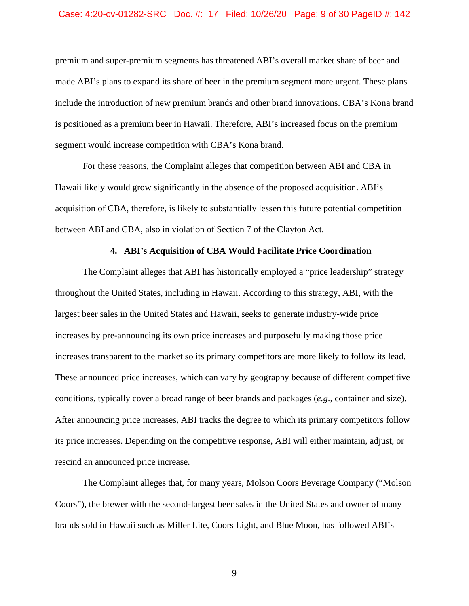#### Case: 4:20-cv-01282-SRC Doc. #: 17 Filed: 10/26/20 Page: 9 of 30 PageID #: 142

premium and super-premium segments has threatened ABI's overall market share of beer and made ABI's plans to expand its share of beer in the premium segment more urgent. These plans include the introduction of new premium brands and other brand innovations. CBA's Kona brand is positioned as a premium beer in Hawaii. Therefore, ABI's increased focus on the premium segment would increase competition with CBA's Kona brand.

For these reasons, the Complaint alleges that competition between ABI and CBA in Hawaii likely would grow significantly in the absence of the proposed acquisition. ABI's acquisition of CBA, therefore, is likely to substantially lessen this future potential competition between ABI and CBA, also in violation of Section 7 of the Clayton Act.

#### **4. ABI's Acquisition of CBA Would Facilitate Price Coordination**

The Complaint alleges that ABI has historically employed a "price leadership" strategy throughout the United States, including in Hawaii. According to this strategy, ABI, with the largest beer sales in the United States and Hawaii, seeks to generate industry-wide price increases by pre-announcing its own price increases and purposefully making those price increases transparent to the market so its primary competitors are more likely to follow its lead. These announced price increases, which can vary by geography because of different competitive conditions, typically cover a broad range of beer brands and packages (*e.g*., container and size). After announcing price increases, ABI tracks the degree to which its primary competitors follow its price increases. Depending on the competitive response, ABI will either maintain, adjust, or rescind an announced price increase.

The Complaint alleges that, for many years, Molson Coors Beverage Company ("Molson Coors"), the brewer with the second-largest beer sales in the United States and owner of many brands sold in Hawaii such as Miller Lite, Coors Light, and Blue Moon, has followed ABI's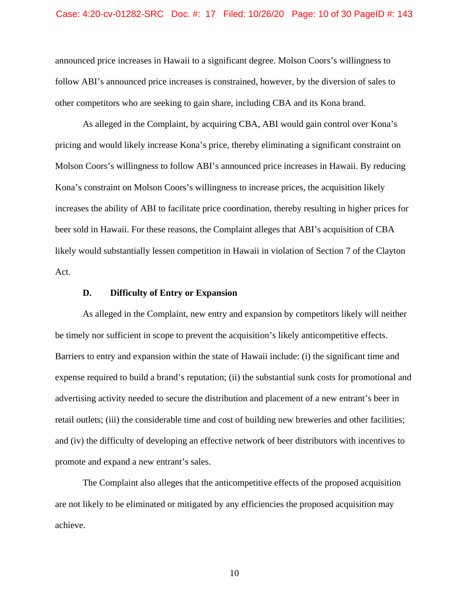#### Case: 4:20-cv-01282-SRC Doc. #: 17 Filed: 10/26/20 Page: 10 of 30 PageID #: 143

announced price increases in Hawaii to a significant degree. Molson Coors's willingness to follow ABI's announced price increases is constrained, however, by the diversion of sales to other competitors who are seeking to gain share, including CBA and its Kona brand.

As alleged in the Complaint, by acquiring CBA, ABI would gain control over Kona's pricing and would likely increase Kona's price, thereby eliminating a significant constraint on Molson Coors's willingness to follow ABI's announced price increases in Hawaii. By reducing Kona's constraint on Molson Coors's willingness to increase prices, the acquisition likely increases the ability of ABI to facilitate price coordination, thereby resulting in higher prices for beer sold in Hawaii. For these reasons, the Complaint alleges that ABI's acquisition of CBA likely would substantially lessen competition in Hawaii in violation of Section 7 of the Clayton Act.

### **D. Difficulty of Entry or Expansion**

As alleged in the Complaint, new entry and expansion by competitors likely will neither be timely nor sufficient in scope to prevent the acquisition's likely anticompetitive effects. Barriers to entry and expansion within the state of Hawaii include: (i) the significant time and expense required to build a brand's reputation; (ii) the substantial sunk costs for promotional and advertising activity needed to secure the distribution and placement of a new entrant's beer in retail outlets; (iii) the considerable time and cost of building new breweries and other facilities; and (iv) the difficulty of developing an effective network of beer distributors with incentives to promote and expand a new entrant's sales.

The Complaint also alleges that the anticompetitive effects of the proposed acquisition are not likely to be eliminated or mitigated by any efficiencies the proposed acquisition may achieve.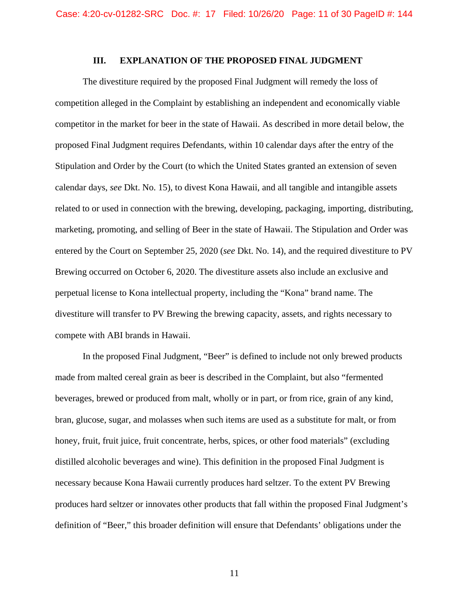### **III. EXPLANATION OF THE PROPOSED FINAL JUDGMENT**

 proposed Final Judgment requires Defendants, within 10 calendar days after the entry of the The divestiture required by the proposed Final Judgment will remedy the loss of competition alleged in the Complaint by establishing an independent and economically viable competitor in the market for beer in the state of Hawaii. As described in more detail below, the Stipulation and Order by the Court (to which the United States granted an extension of seven calendar days, *see* Dkt. No. 15), to divest Kona Hawaii, and all tangible and intangible assets related to or used in connection with the brewing, developing, packaging, importing, distributing, marketing, promoting, and selling of Beer in the state of Hawaii. The Stipulation and Order was entered by the Court on September 25, 2020 (*see* Dkt. No. 14), and the required divestiture to PV Brewing occurred on October 6, 2020. The divestiture assets also include an exclusive and perpetual license to Kona intellectual property, including the "Kona" brand name. The divestiture will transfer to PV Brewing the brewing capacity, assets, and rights necessary to compete with ABI brands in Hawaii.

In the proposed Final Judgment, "Beer" is defined to include not only brewed products made from malted cereal grain as beer is described in the Complaint, but also "fermented beverages, brewed or produced from malt, wholly or in part, or from rice, grain of any kind, bran, glucose, sugar, and molasses when such items are used as a substitute for malt, or from honey, fruit, fruit juice, fruit concentrate, herbs, spices, or other food materials" (excluding distilled alcoholic beverages and wine). This definition in the proposed Final Judgment is necessary because Kona Hawaii currently produces hard seltzer. To the extent PV Brewing produces hard seltzer or innovates other products that fall within the proposed Final Judgment's definition of "Beer," this broader definition will ensure that Defendants' obligations under the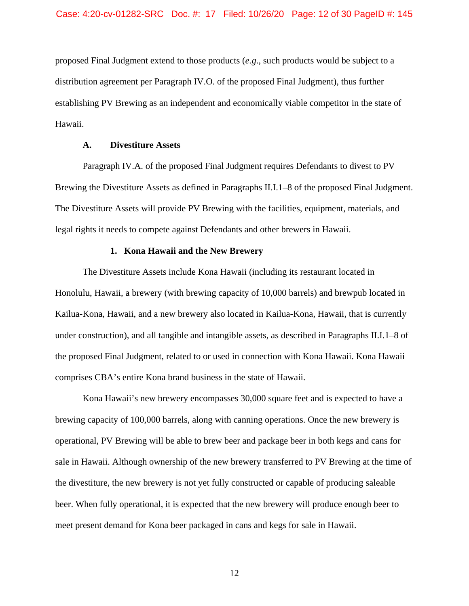proposed Final Judgment extend to those products (*e.g*., such products would be subject to a distribution agreement per Paragraph IV.O. of the proposed Final Judgment), thus further establishing PV Brewing as an independent and economically viable competitor in the state of Hawaii.

## **A. Divestiture Assets**

Paragraph IV.A. of the proposed Final Judgment requires Defendants to divest to PV Brewing the Divestiture Assets as defined in Paragraphs II.I.1–8 of the proposed Final Judgment. The Divestiture Assets will provide PV Brewing with the facilities, equipment, materials, and legal rights it needs to compete against Defendants and other brewers in Hawaii.

#### **1. Kona Hawaii and the New Brewery**

The Divestiture Assets include Kona Hawaii (including its restaurant located in Honolulu, Hawaii, a brewery (with brewing capacity of 10,000 barrels) and brewpub located in Kailua-Kona, Hawaii, and a new brewery also located in Kailua-Kona, Hawaii, that is currently under construction), and all tangible and intangible assets, as described in Paragraphs II.I.1–8 of the proposed Final Judgment, related to or used in connection with Kona Hawaii. Kona Hawaii comprises CBA's entire Kona brand business in the state of Hawaii.

Kona Hawaii's new brewery encompasses 30,000 square feet and is expected to have a brewing capacity of 100,000 barrels, along with canning operations. Once the new brewery is operational, PV Brewing will be able to brew beer and package beer in both kegs and cans for sale in Hawaii. Although ownership of the new brewery transferred to PV Brewing at the time of the divestiture, the new brewery is not yet fully constructed or capable of producing saleable beer. When fully operational, it is expected that the new brewery will produce enough beer to meet present demand for Kona beer packaged in cans and kegs for sale in Hawaii.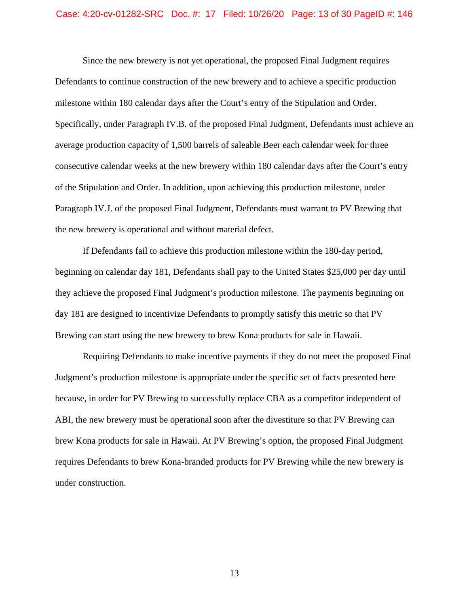#### Case: 4:20-cv-01282-SRC Doc. #: 17 Filed: 10/26/20 Page: 13 of 30 PageID #: 146

Since the new brewery is not yet operational, the proposed Final Judgment requires Defendants to continue construction of the new brewery and to achieve a specific production milestone within 180 calendar days after the Court's entry of the Stipulation and Order. Specifically, under Paragraph IV.B. of the proposed Final Judgment, Defendants must achieve an average production capacity of 1,500 barrels of saleable Beer each calendar week for three consecutive calendar weeks at the new brewery within 180 calendar days after the Court's entry of the Stipulation and Order. In addition, upon achieving this production milestone, under Paragraph IV.J. of the proposed Final Judgment, Defendants must warrant to PV Brewing that the new brewery is operational and without material defect.

If Defendants fail to achieve this production milestone within the 180-day period, beginning on calendar day 181, Defendants shall pay to the United States \$25,000 per day until they achieve the proposed Final Judgment's production milestone. The payments beginning on day 181 are designed to incentivize Defendants to promptly satisfy this metric so that PV Brewing can start using the new brewery to brew Kona products for sale in Hawaii.

Requiring Defendants to make incentive payments if they do not meet the proposed Final Judgment's production milestone is appropriate under the specific set of facts presented here because, in order for PV Brewing to successfully replace CBA as a competitor independent of ABI, the new brewery must be operational soon after the divestiture so that PV Brewing can brew Kona products for sale in Hawaii. At PV Brewing's option, the proposed Final Judgment requires Defendants to brew Kona-branded products for PV Brewing while the new brewery is under construction.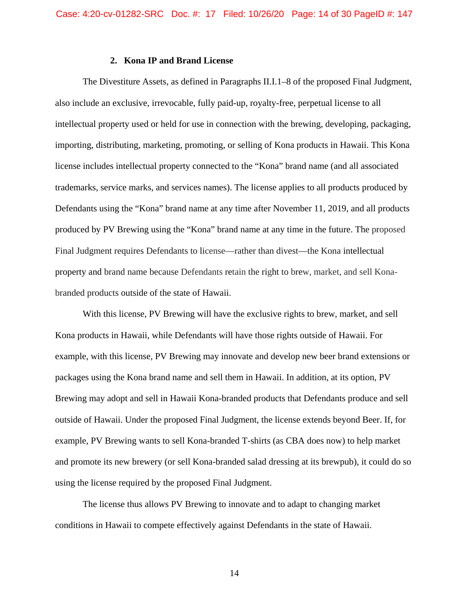### **2. Kona IP and Brand License**

The Divestiture Assets, as defined in Paragraphs II.I.1–8 of the proposed Final Judgment, also include an exclusive, irrevocable, fully paid-up, royalty-free, perpetual license to all intellectual property used or held for use in connection with the brewing, developing, packaging, importing, distributing, marketing, promoting, or selling of Kona products in Hawaii. This Kona license includes intellectual property connected to the "Kona" brand name (and all associated trademarks, service marks, and services names). The license applies to all products produced by Defendants using the "Kona" brand name at any time after November 11, 2019, and all products produced by PV Brewing using the "Kona" brand name at any time in the future. The proposed Final Judgment requires Defendants to license—rather than divest—the Kona intellectual property and brand name because Defendants retain the right to brew, market, and sell Konabranded products outside of the state of Hawaii.

With this license, PV Brewing will have the exclusive rights to brew, market, and sell Kona products in Hawaii, while Defendants will have those rights outside of Hawaii. For example, with this license, PV Brewing may innovate and develop new beer brand extensions or packages using the Kona brand name and sell them in Hawaii. In addition, at its option, PV Brewing may adopt and sell in Hawaii Kona-branded products that Defendants produce and sell outside of Hawaii. Under the proposed Final Judgment, the license extends beyond Beer. If, for example, PV Brewing wants to sell Kona-branded T-shirts (as CBA does now) to help market and promote its new brewery (or sell Kona-branded salad dressing at its brewpub), it could do so using the license required by the proposed Final Judgment.

The license thus allows PV Brewing to innovate and to adapt to changing market conditions in Hawaii to compete effectively against Defendants in the state of Hawaii.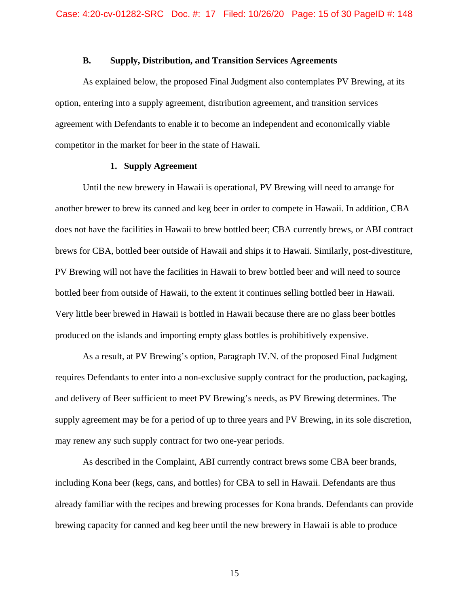## **B. Supply, Distribution, and Transition Services Agreements**

As explained below, the proposed Final Judgment also contemplates PV Brewing, at its option, entering into a supply agreement, distribution agreement, and transition services agreement with Defendants to enable it to become an independent and economically viable competitor in the market for beer in the state of Hawaii.

## **1. Supply Agreement**

Until the new brewery in Hawaii is operational, PV Brewing will need to arrange for another brewer to brew its canned and keg beer in order to compete in Hawaii. In addition, CBA does not have the facilities in Hawaii to brew bottled beer; CBA currently brews, or ABI contract brews for CBA, bottled beer outside of Hawaii and ships it to Hawaii. Similarly, post-divestiture, PV Brewing will not have the facilities in Hawaii to brew bottled beer and will need to source bottled beer from outside of Hawaii, to the extent it continues selling bottled beer in Hawaii. Very little beer brewed in Hawaii is bottled in Hawaii because there are no glass beer bottles produced on the islands and importing empty glass bottles is prohibitively expensive.

As a result, at PV Brewing's option, Paragraph IV.N. of the proposed Final Judgment requires Defendants to enter into a non-exclusive supply contract for the production, packaging, and delivery of Beer sufficient to meet PV Brewing's needs, as PV Brewing determines. The supply agreement may be for a period of up to three years and PV Brewing, in its sole discretion, may renew any such supply contract for two one-year periods.

As described in the Complaint, ABI currently contract brews some CBA beer brands, including Kona beer (kegs, cans, and bottles) for CBA to sell in Hawaii. Defendants are thus already familiar with the recipes and brewing processes for Kona brands. Defendants can provide brewing capacity for canned and keg beer until the new brewery in Hawaii is able to produce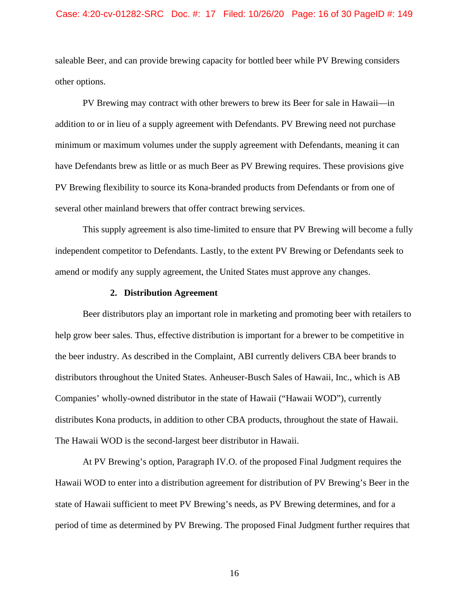#### Case: 4:20-cv-01282-SRC Doc. #: 17 Filed: 10/26/20 Page: 16 of 30 PageID #: 149

saleable Beer, and can provide brewing capacity for bottled beer while PV Brewing considers other options.

PV Brewing may contract with other brewers to brew its Beer for sale in Hawaii—in addition to or in lieu of a supply agreement with Defendants. PV Brewing need not purchase minimum or maximum volumes under the supply agreement with Defendants, meaning it can have Defendants brew as little or as much Beer as PV Brewing requires. These provisions give PV Brewing flexibility to source its Kona-branded products from Defendants or from one of several other mainland brewers that offer contract brewing services.

This supply agreement is also time-limited to ensure that PV Brewing will become a fully independent competitor to Defendants. Lastly, to the extent PV Brewing or Defendants seek to amend or modify any supply agreement, the United States must approve any changes.

### **2. Distribution Agreement**

Beer distributors play an important role in marketing and promoting beer with retailers to help grow beer sales. Thus, effective distribution is important for a brewer to be competitive in the beer industry. As described in the Complaint, ABI currently delivers CBA beer brands to distributors throughout the United States. Anheuser-Busch Sales of Hawaii, Inc., which is AB Companies' wholly-owned distributor in the state of Hawaii ("Hawaii WOD"), currently distributes Kona products, in addition to other CBA products, throughout the state of Hawaii. The Hawaii WOD is the second-largest beer distributor in Hawaii.

At PV Brewing's option, Paragraph IV.O. of the proposed Final Judgment requires the Hawaii WOD to enter into a distribution agreement for distribution of PV Brewing's Beer in the state of Hawaii sufficient to meet PV Brewing's needs, as PV Brewing determines, and for a period of time as determined by PV Brewing. The proposed Final Judgment further requires that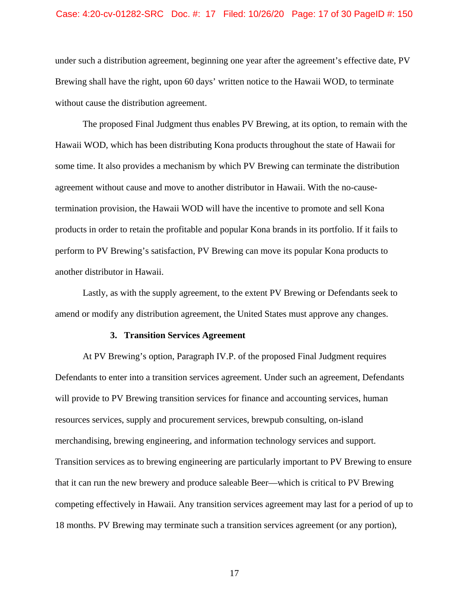#### Case: 4:20-cv-01282-SRC Doc. #: 17 Filed: 10/26/20 Page: 17 of 30 PageID #: 150

under such a distribution agreement, beginning one year after the agreement's effective date, PV Brewing shall have the right, upon 60 days' written notice to the Hawaii WOD, to terminate without cause the distribution agreement.

The proposed Final Judgment thus enables PV Brewing, at its option, to remain with the Hawaii WOD, which has been distributing Kona products throughout the state of Hawaii for some time. It also provides a mechanism by which PV Brewing can terminate the distribution agreement without cause and move to another distributor in Hawaii. With the no-causetermination provision, the Hawaii WOD will have the incentive to promote and sell Kona products in order to retain the profitable and popular Kona brands in its portfolio. If it fails to perform to PV Brewing's satisfaction, PV Brewing can move its popular Kona products to another distributor in Hawaii.

Lastly, as with the supply agreement, to the extent PV Brewing or Defendants seek to amend or modify any distribution agreement, the United States must approve any changes.

#### **3. Transition Services Agreement**

At PV Brewing's option, Paragraph IV.P. of the proposed Final Judgment requires Defendants to enter into a transition services agreement. Under such an agreement, Defendants will provide to PV Brewing transition services for finance and accounting services, human resources services, supply and procurement services, brewpub consulting, on-island merchandising, brewing engineering, and information technology services and support. Transition services as to brewing engineering are particularly important to PV Brewing to ensure that it can run the new brewery and produce saleable Beer—which is critical to PV Brewing competing effectively in Hawaii. Any transition services agreement may last for a period of up to 18 months. PV Brewing may terminate such a transition services agreement (or any portion),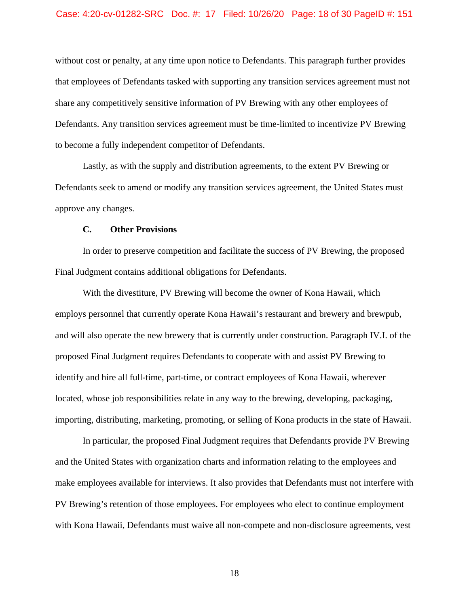without cost or penalty, at any time upon notice to Defendants. This paragraph further provides that employees of Defendants tasked with supporting any transition services agreement must not share any competitively sensitive information of PV Brewing with any other employees of Defendants. Any transition services agreement must be time-limited to incentivize PV Brewing to become a fully independent competitor of Defendants.

Lastly, as with the supply and distribution agreements, to the extent PV Brewing or Defendants seek to amend or modify any transition services agreement, the United States must approve any changes.

#### **C. Other Provisions**

In order to preserve competition and facilitate the success of PV Brewing, the proposed Final Judgment contains additional obligations for Defendants.

With the divestiture, PV Brewing will become the owner of Kona Hawaii, which employs personnel that currently operate Kona Hawaii's restaurant and brewery and brewpub, and will also operate the new brewery that is currently under construction. Paragraph IV.I. of the proposed Final Judgment requires Defendants to cooperate with and assist PV Brewing to identify and hire all full-time, part-time, or contract employees of Kona Hawaii, wherever located, whose job responsibilities relate in any way to the brewing, developing, packaging, importing, distributing, marketing, promoting, or selling of Kona products in the state of Hawaii.

In particular, the proposed Final Judgment requires that Defendants provide PV Brewing and the United States with organization charts and information relating to the employees and make employees available for interviews. It also provides that Defendants must not interfere with PV Brewing's retention of those employees. For employees who elect to continue employment with Kona Hawaii, Defendants must waive all non-compete and non-disclosure agreements, vest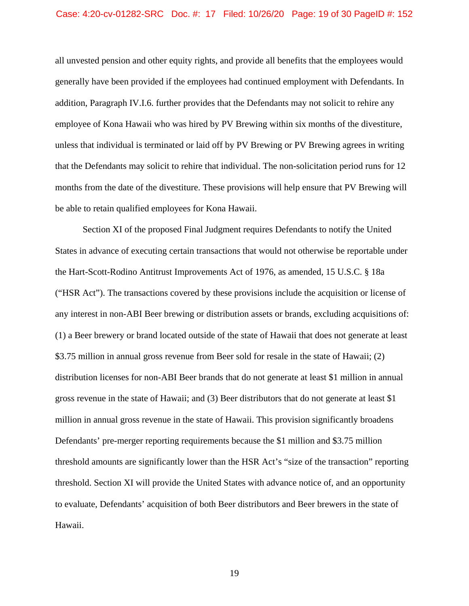#### Case: 4:20-cv-01282-SRC Doc. #: 17 Filed: 10/26/20 Page: 19 of 30 PageID #: 152

all unvested pension and other equity rights, and provide all benefits that the employees would generally have been provided if the employees had continued employment with Defendants. In addition, Paragraph IV.I.6. further provides that the Defendants may not solicit to rehire any employee of Kona Hawaii who was hired by PV Brewing within six months of the divestiture, unless that individual is terminated or laid off by PV Brewing or PV Brewing agrees in writing that the Defendants may solicit to rehire that individual. The non-solicitation period runs for 12 months from the date of the divestiture. These provisions will help ensure that PV Brewing will be able to retain qualified employees for Kona Hawaii.

Section XI of the proposed Final Judgment requires Defendants to notify the United States in advance of executing certain transactions that would not otherwise be reportable under the Hart-Scott-Rodino Antitrust Improvements Act of 1976, as amended, 15 U.S.C. § 18a ("HSR Act"). The transactions covered by these provisions include the acquisition or license of any interest in non-ABI Beer brewing or distribution assets or brands, excluding acquisitions of: (1) a Beer brewery or brand located outside of the state of Hawaii that does not generate at least \$3.75 million in annual gross revenue from Beer sold for resale in the state of Hawaii; (2) distribution licenses for non-ABI Beer brands that do not generate at least \$1 million in annual gross revenue in the state of Hawaii; and (3) Beer distributors that do not generate at least \$1 million in annual gross revenue in the state of Hawaii. This provision significantly broadens Defendants' pre-merger reporting requirements because the \$1 million and \$3.75 million threshold amounts are significantly lower than the HSR Act's "size of the transaction" reporting threshold. Section XI will provide the United States with advance notice of, and an opportunity to evaluate, Defendants' acquisition of both Beer distributors and Beer brewers in the state of Hawaii.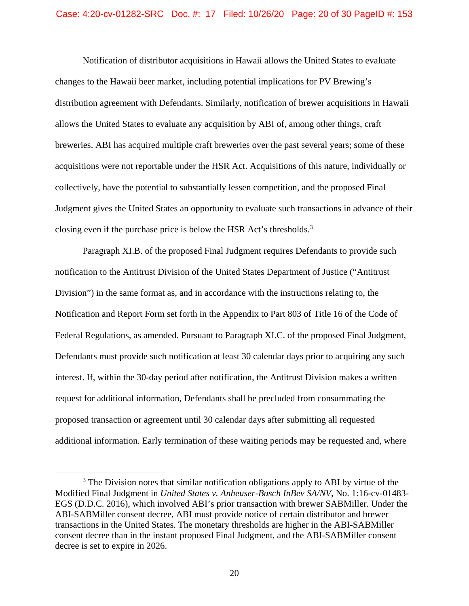closing even if the purchase price is below the HSR Act's thresholds.<sup>3</sup> Notification of distributor acquisitions in Hawaii allows the United States to evaluate changes to the Hawaii beer market, including potential implications for PV Brewing's distribution agreement with Defendants. Similarly, notification of brewer acquisitions in Hawaii allows the United States to evaluate any acquisition by ABI of, among other things, craft breweries. ABI has acquired multiple craft breweries over the past several years; some of these acquisitions were not reportable under the HSR Act. Acquisitions of this nature, individually or collectively, have the potential to substantially lessen competition, and the proposed Final Judgment gives the United States an opportunity to evaluate such transactions in advance of their

Paragraph XI.B. of the proposed Final Judgment requires Defendants to provide such notification to the Antitrust Division of the United States Department of Justice ("Antitrust Division") in the same format as, and in accordance with the instructions relating to, the Notification and Report Form set forth in the Appendix to Part 803 of Title 16 of the Code of Federal Regulations, as amended. Pursuant to Paragraph XI.C. of the proposed Final Judgment, Defendants must provide such notification at least 30 calendar days prior to acquiring any such interest. If, within the 30-day period after notification, the Antitrust Division makes a written request for additional information, Defendants shall be precluded from consummating the proposed transaction or agreement until 30 calendar days after submitting all requested additional information. Early termination of these waiting periods may be requested and, where

 $3$  The Division notes that similar notification obligations apply to ABI by virtue of the Modified Final Judgment in *United States v. Anheuser-Busch InBev SA/NV*, No. 1:16-cv-01483- EGS (D.D.C. 2016), which involved ABI's prior transaction with brewer SABMiller. Under the ABI-SABMiller consent decree, ABI must provide notice of certain distributor and brewer transactions in the United States. The monetary thresholds are higher in the ABI-SABMiller consent decree than in the instant proposed Final Judgment, and the ABI-SABMiller consent decree is set to expire in 2026.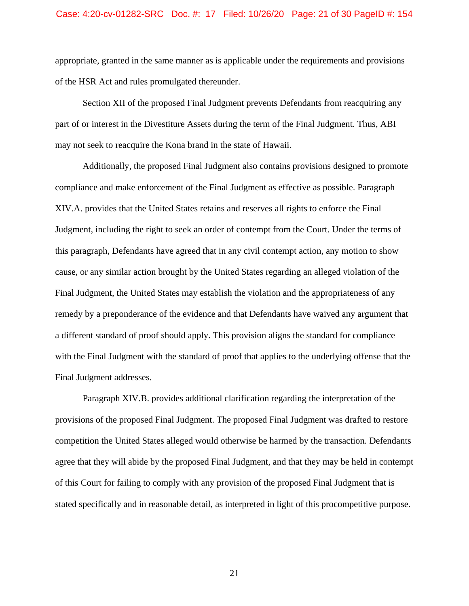appropriate, granted in the same manner as is applicable under the requirements and provisions of the HSR Act and rules promulgated thereunder.

Section XII of the proposed Final Judgment prevents Defendants from reacquiring any part of or interest in the Divestiture Assets during the term of the Final Judgment. Thus, ABI may not seek to reacquire the Kona brand in the state of Hawaii.

Additionally, the proposed Final Judgment also contains provisions designed to promote compliance and make enforcement of the Final Judgment as effective as possible. Paragraph XIV.A. provides that the United States retains and reserves all rights to enforce the Final Judgment, including the right to seek an order of contempt from the Court. Under the terms of this paragraph, Defendants have agreed that in any civil contempt action, any motion to show cause, or any similar action brought by the United States regarding an alleged violation of the Final Judgment, the United States may establish the violation and the appropriateness of any remedy by a preponderance of the evidence and that Defendants have waived any argument that a different standard of proof should apply. This provision aligns the standard for compliance with the Final Judgment with the standard of proof that applies to the underlying offense that the Final Judgment addresses.

Paragraph XIV.B. provides additional clarification regarding the interpretation of the provisions of the proposed Final Judgment. The proposed Final Judgment was drafted to restore competition the United States alleged would otherwise be harmed by the transaction. Defendants agree that they will abide by the proposed Final Judgment, and that they may be held in contempt of this Court for failing to comply with any provision of the proposed Final Judgment that is stated specifically and in reasonable detail, as interpreted in light of this procompetitive purpose.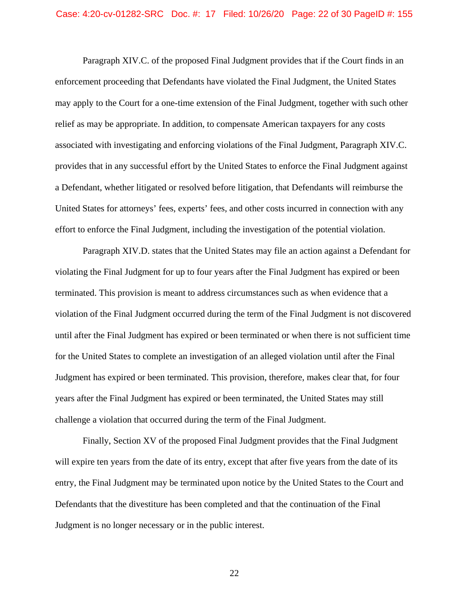Paragraph XIV.C. of the proposed Final Judgment provides that if the Court finds in an enforcement proceeding that Defendants have violated the Final Judgment, the United States may apply to the Court for a one-time extension of the Final Judgment, together with such other relief as may be appropriate. In addition, to compensate American taxpayers for any costs associated with investigating and enforcing violations of the Final Judgment, Paragraph XIV.C. provides that in any successful effort by the United States to enforce the Final Judgment against a Defendant, whether litigated or resolved before litigation, that Defendants will reimburse the United States for attorneys' fees, experts' fees, and other costs incurred in connection with any effort to enforce the Final Judgment, including the investigation of the potential violation.

Paragraph XIV.D. states that the United States may file an action against a Defendant for violating the Final Judgment for up to four years after the Final Judgment has expired or been terminated. This provision is meant to address circumstances such as when evidence that a violation of the Final Judgment occurred during the term of the Final Judgment is not discovered until after the Final Judgment has expired or been terminated or when there is not sufficient time for the United States to complete an investigation of an alleged violation until after the Final Judgment has expired or been terminated. This provision, therefore, makes clear that, for four years after the Final Judgment has expired or been terminated, the United States may still challenge a violation that occurred during the term of the Final Judgment.

Finally, Section XV of the proposed Final Judgment provides that the Final Judgment will expire ten years from the date of its entry, except that after five years from the date of its entry, the Final Judgment may be terminated upon notice by the United States to the Court and Defendants that the divestiture has been completed and that the continuation of the Final Judgment is no longer necessary or in the public interest.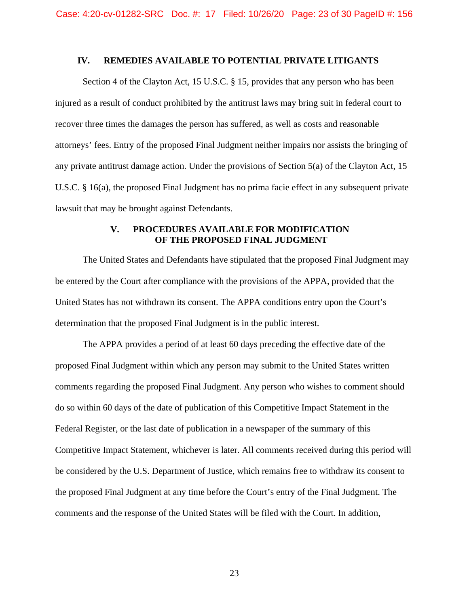## **IV. REMEDIES AVAILABLE TO POTENTIAL PRIVATE LITIGANTS**

Section 4 of the Clayton Act, 15 U.S.C. § 15, provides that any person who has been injured as a result of conduct prohibited by the antitrust laws may bring suit in federal court to recover three times the damages the person has suffered, as well as costs and reasonable attorneys' fees. Entry of the proposed Final Judgment neither impairs nor assists the bringing of any private antitrust damage action. Under the provisions of Section 5(a) of the Clayton Act, 15 U.S.C. § 16(a), the proposed Final Judgment has no prima facie effect in any subsequent private lawsuit that may be brought against Defendants.

## **V. PROCEDURES AVAILABLE FOR MODIFICATION OF THE PROPOSED FINAL JUDGMENT**

The United States and Defendants have stipulated that the proposed Final Judgment may be entered by the Court after compliance with the provisions of the APPA, provided that the United States has not withdrawn its consent. The APPA conditions entry upon the Court's determination that the proposed Final Judgment is in the public interest.

The APPA provides a period of at least 60 days preceding the effective date of the proposed Final Judgment within which any person may submit to the United States written comments regarding the proposed Final Judgment. Any person who wishes to comment should do so within 60 days of the date of publication of this Competitive Impact Statement in the Federal Register, or the last date of publication in a newspaper of the summary of this Competitive Impact Statement, whichever is later. All comments received during this period will be considered by the U.S. Department of Justice, which remains free to withdraw its consent to the proposed Final Judgment at any time before the Court's entry of the Final Judgment. The comments and the response of the United States will be filed with the Court. In addition,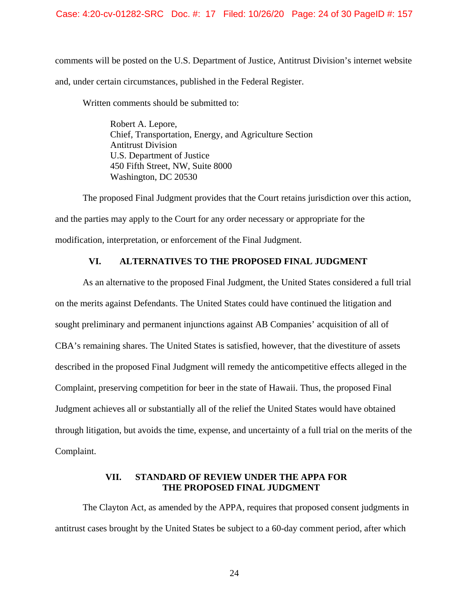### Case: 4:20-cv-01282-SRC Doc. #: 17 Filed: 10/26/20 Page: 24 of 30 PageID #: 157

comments will be posted on the U.S. Department of Justice, Antitrust Division's internet website and, under certain circumstances, published in the Federal Register.

Written comments should be submitted to:

 Robert A. Lepore, Chief, Transportation, Energy, and Agriculture Section Antitrust Division U.S. Department of Justice 450 Fifth Street, NW, Suite 8000 Washington, DC 20530

The proposed Final Judgment provides that the Court retains jurisdiction over this action, and the parties may apply to the Court for any order necessary or appropriate for the modification, interpretation, or enforcement of the Final Judgment.

## **VI. ALTERNATIVES TO THE PROPOSED FINAL JUDGMENT**

As an alternative to the proposed Final Judgment, the United States considered a full trial on the merits against Defendants. The United States could have continued the litigation and sought preliminary and permanent injunctions against AB Companies' acquisition of all of CBA's remaining shares. The United States is satisfied, however, that the divestiture of assets described in the proposed Final Judgment will remedy the anticompetitive effects alleged in the Complaint, preserving competition for beer in the state of Hawaii. Thus, the proposed Final Judgment achieves all or substantially all of the relief the United States would have obtained through litigation, but avoids the time, expense, and uncertainty of a full trial on the merits of the Complaint.

# **VII. STANDARD OF REVIEW UNDER THE APPA FOR THE PROPOSED FINAL JUDGMENT**

The Clayton Act, as amended by the APPA, requires that proposed consent judgments in antitrust cases brought by the United States be subject to a 60-day comment period, after which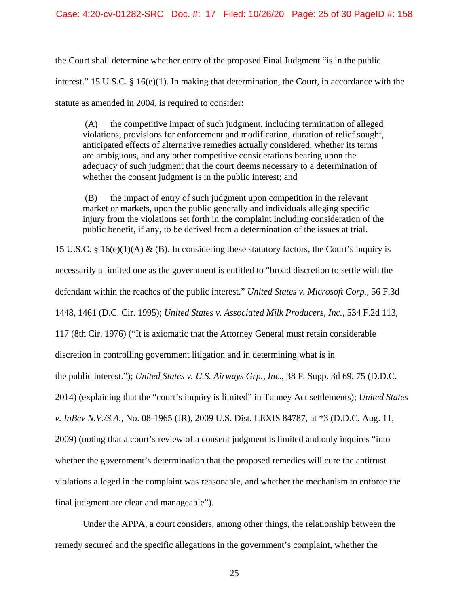the Court shall determine whether entry of the proposed Final Judgment "is in the public interest." 15 U.S.C. § 16(e)(1). In making that determination, the Court, in accordance with the statute as amended in 2004, is required to consider:

 whether the consent judgment is in the public interest; and (A) the competitive impact of such judgment, including termination of alleged violations, provisions for enforcement and modification, duration of relief sought, anticipated effects of alternative remedies actually considered, whether its terms are ambiguous, and any other competitive considerations bearing upon the adequacy of such judgment that the court deems necessary to a determination of

 (B) the impact of entry of such judgment upon competition in the relevant market or markets, upon the public generally and individuals alleging specific injury from the violations set forth in the complaint including consideration of the public benefit, if any, to be derived from a determination of the issues at trial.

15 U.S.C. § 16(e)(1)(A) & (B). In considering these statutory factors, the Court's inquiry is necessarily a limited one as the government is entitled to "broad discretion to settle with the defendant within the reaches of the public interest." *United States v. Microsoft Corp.*, 56 F.3d 1448, 1461 (D.C. Cir. 1995); *United States v. Associated Milk Producers, Inc.*, 534 F.2d 113, 117 (8th Cir. 1976) ("It is axiomatic that the Attorney General must retain considerable discretion in controlling government litigation and in determining what is in the public interest."); *United States v. U.S. Airways Grp., Inc.*, 38 F. Supp. 3d 69, 75 (D.D.C. 2014) (explaining that the "court's inquiry is limited" in Tunney Act settlements); *United States v. InBev N.V./S.A.*, No. 08-1965 (JR), 2009 U.S. Dist. LEXIS 84787, at \*3 (D.D.C. Aug. 11, 2009) (noting that a court's review of a consent judgment is limited and only inquires "into whether the government's determination that the proposed remedies will cure the antitrust violations alleged in the complaint was reasonable, and whether the mechanism to enforce the final judgment are clear and manageable").

Under the APPA, a court considers, among other things, the relationship between the remedy secured and the specific allegations in the government's complaint, whether the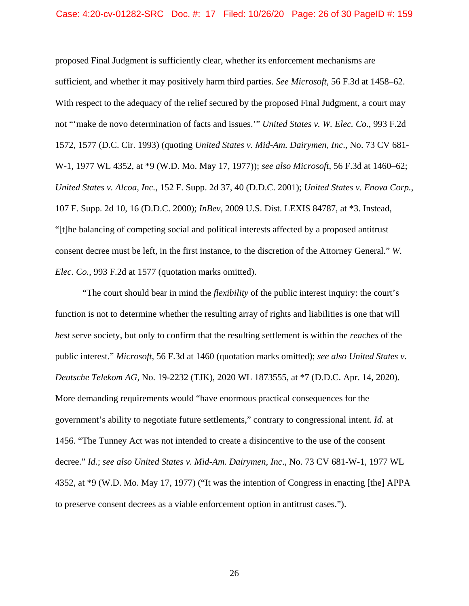proposed Final Judgment is sufficiently clear, whether its enforcement mechanisms are sufficient, and whether it may positively harm third parties. *See Microsoft*, 56 F.3d at 1458–62. With respect to the adequacy of the relief secured by the proposed Final Judgment, a court may not "'make de novo determination of facts and issues.'" *United States v. W. Elec. Co.*, 993 F.2d 1572, 1577 (D.C. Cir. 1993) (quoting *United States v. Mid-Am. Dairymen, Inc*., No. 73 CV 681- W-1, 1977 WL 4352, at \*9 (W.D. Mo. May 17, 1977)); *see also Microsoft*, 56 F.3d at 1460–62; *United States v. Alcoa, Inc.*, 152 F. Supp. 2d 37, 40 (D.D.C. 2001); *United States v. Enova Corp.*, 107 F. Supp. 2d 10, 16 (D.D.C. 2000); *InBev*, 2009 U.S. Dist. LEXIS 84787, at \*3. Instead, "[t]he balancing of competing social and political interests affected by a proposed antitrust consent decree must be left, in the first instance, to the discretion of the Attorney General." *W. Elec. Co.*, 993 F.2d at 1577 (quotation marks omitted).

"The court should bear in mind the *flexibility* of the public interest inquiry: the court's function is not to determine whether the resulting array of rights and liabilities is one that will *best* serve society, but only to confirm that the resulting settlement is within the *reaches* of the public interest." *Microsoft*, 56 F.3d at 1460 (quotation marks omitted); *see also United States v. Deutsche Telekom AG*, No. 19-2232 (TJK), 2020 WL 1873555, at \*7 (D.D.C. Apr. 14, 2020). More demanding requirements would "have enormous practical consequences for the government's ability to negotiate future settlements," contrary to congressional intent. *Id.* at 1456. "The Tunney Act was not intended to create a disincentive to the use of the consent decree." *Id.*; *see also United States v. Mid-Am. Dairymen, Inc*., No. 73 CV 681-W-1, 1977 WL 4352, at \*9 (W.D. Mo. May 17, 1977) ("It was the intention of Congress in enacting [the] APPA to preserve consent decrees as a viable enforcement option in antitrust cases.").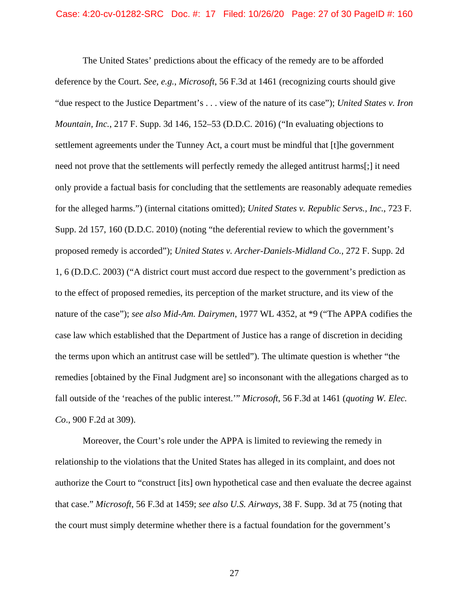The United States' predictions about the efficacy of the remedy are to be afforded deference by the Court. *See, e.g.*, *Microsoft*, 56 F.3d at 1461 (recognizing courts should give "due respect to the Justice Department's . . . view of the nature of its case"); *United States v. Iron Mountain, Inc.*, 217 F. Supp. 3d 146, 152–53 (D.D.C. 2016) ("In evaluating objections to settlement agreements under the Tunney Act, a court must be mindful that [t]he government need not prove that the settlements will perfectly remedy the alleged antitrust harms[;] it need only provide a factual basis for concluding that the settlements are reasonably adequate remedies for the alleged harms.") (internal citations omitted); *United States v. Republic Servs., Inc.*, 723 F. Supp. 2d 157, 160 (D.D.C. 2010) (noting "the deferential review to which the government's proposed remedy is accorded"); *United States v. Archer-Daniels-Midland Co.*, 272 F. Supp. 2d 1, 6 (D.D.C. 2003) ("A district court must accord due respect to the government's prediction as to the effect of proposed remedies, its perception of the market structure, and its view of the nature of the case"); *see also Mid-Am. Dairymen*, 1977 WL 4352, at \*9 ("The APPA codifies the case law which established that the Department of Justice has a range of discretion in deciding the terms upon which an antitrust case will be settled"). The ultimate question is whether "the remedies [obtained by the Final Judgment are] so inconsonant with the allegations charged as to fall outside of the 'reaches of the public interest.'" *Microsoft*, 56 F.3d at 1461 (*quoting W. Elec. Co*., 900 F.2d at 309).

Moreover, the Court's role under the APPA is limited to reviewing the remedy in relationship to the violations that the United States has alleged in its complaint, and does not authorize the Court to "construct [its] own hypothetical case and then evaluate the decree against that case." *Microsoft*, 56 F.3d at 1459; *see also U.S. Airways*, 38 F. Supp. 3d at 75 (noting that the court must simply determine whether there is a factual foundation for the government's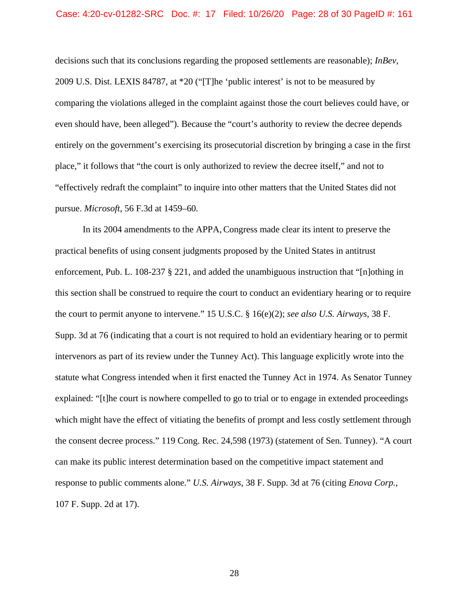pursue. *Microsoft*, 56 F.3d at 1459–60*.* decisions such that its conclusions regarding the proposed settlements are reasonable); *InBev*, 2009 U.S. Dist. LEXIS 84787, at \*20 ("[T]he 'public interest' is not to be measured by comparing the violations alleged in the complaint against those the court believes could have, or even should have, been alleged"). Because the "court's authority to review the decree depends entirely on the government's exercising its prosecutorial discretion by bringing a case in the first place," it follows that "the court is only authorized to review the decree itself," and not to "effectively redraft the complaint" to inquire into other matters that the United States did not

In its 2004 amendments to the APPA, Congress made clear its intent to preserve the practical benefits of using consent judgments proposed by the United States in antitrust enforcement, Pub. L. 108-237 § 221, and added the unambiguous instruction that "[n]othing in this section shall be construed to require the court to conduct an evidentiary hearing or to require the court to permit anyone to intervene." 15 U.S.C. § 16(e)(2); *see also U.S. Airways*, 38 F. Supp. 3d at 76 (indicating that a court is not required to hold an evidentiary hearing or to permit intervenors as part of its review under the Tunney Act). This language explicitly wrote into the statute what Congress intended when it first enacted the Tunney Act in 1974. As Senator Tunney explained: "[t]he court is nowhere compelled to go to trial or to engage in extended proceedings which might have the effect of vitiating the benefits of prompt and less costly settlement through the consent decree process." 119 Cong. Rec. 24,598 (1973) (statement of Sen. Tunney). "A court can make its public interest determination based on the competitive impact statement and response to public comments alone." *U.S. Airways*, 38 F. Supp. 3d at 76 (citing *Enova Corp.*, 107 F. Supp. 2d at 17).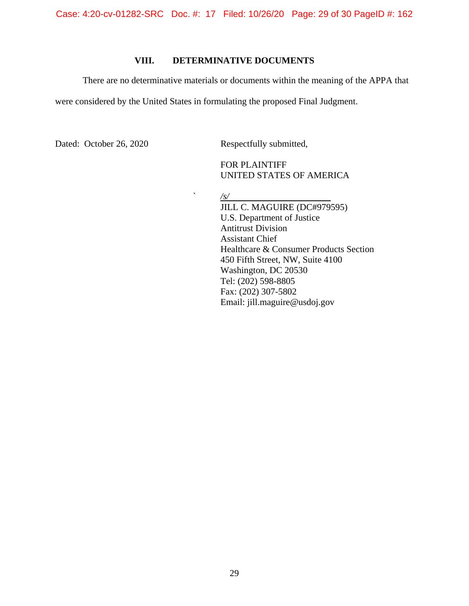Case: 4:20-cv-01282-SRC Doc. #: 17 Filed: 10/26/20 Page: 29 of 30 PageID #: 162

# **VIII. DETERMINATIVE DOCUMENTS**

There are no determinative materials or documents within the meaning of the APPA that

were considered by the United States in formulating the proposed Final Judgment.

Dated: October 26, 2020 Respectfully submitted,

FOR PLAINTIFF UNITED STATES OF AMERICA

 ` */s/* 

JILL C. MAGUIRE (DC#979595) U.S. Department of Justice Antitrust Division Assistant Chief Healthcare & Consumer Products Section 450 Fifth Street, NW, Suite 4100 Washington, DC 20530 Tel: (202) 598-8805 Fax: (202) 307-5802 Email: jill.maguire@usdoj.gov